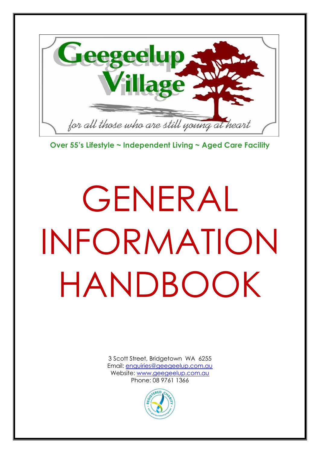

**Over 55's Lifestyle ~ Independent Living ~ Aged Care Facility**

# GENERAL INFORMATION HANDBOOK

3 Scott Street, Bridgetown WA 6255 Email: [enquiries@geegeelup.com.au](mailto:enquiries@geegeelup.com.au) Website: [www.geegeelup.com.au](http://www.geegeelup.com.au/) Phone: 08 9761 1366

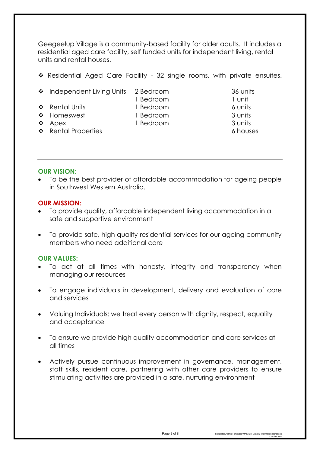Geegeelup Village is a community-based facility for older adults. It includes a residential aged care facility, self funded units for independent living, rental units and rental houses.

- ❖ Residential Aged Care Facility 32 single rooms, with private ensuites.
- ❖ Independent Living Units 2 Bedroom 36 units
- ❖ Rental Units 1 Bedroom 6 units 6 6 units
- 1 Bedroom 1 unit
- 
- ❖ Homeswest 1 Bedroom 3 units
	-
- 
- ◆ Apex 1 Bedroom 3 units
- 
- ❖ Rental Properties 6 houses

#### **OUR VISION:**

• To be the best provider of affordable accommodation for ageing people in Southwest Western Australia.

#### **OUR MISSION:**

- To provide quality, affordable independent living accommodation in a safe and supportive environment
- To provide safe, high quality residential services for our ageing community members who need additional care

#### **OUR VALUES:**

- To act at all times with honesty, integrity and transparency when managing our resources
- To engage individuals in development, delivery and evaluation of care and services
- Valuing Individuals: we treat every person with dignity, respect, equality and acceptance
- To ensure we provide high quality accommodation and care services at all times
- Actively pursue continuous improvement in governance, management, staff skills, resident care, partnering with other care providers to ensure stimulating activities are provided in a safe, nurturing environment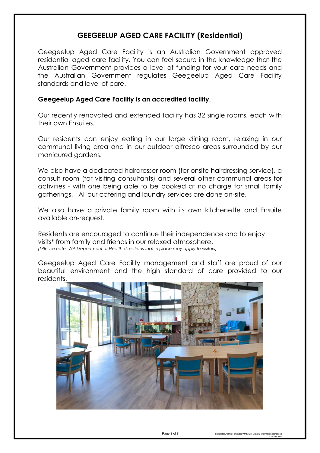# **GEEGEELUP AGED CARE FACILITY (Residential)**

Geegeelup Aged Care Facility is an Australian Government approved residential aged care facility. You can feel secure in the knowledge that the Australian Government provides a level of funding for your care needs and the Australian Government regulates Geegeelup Aged Care Facility standards and level of care.

#### **Geegeelup Aged Care Facility is an accredited facility.**

Our recently renovated and extended facility has 32 single rooms, each with their own Ensuites.

Our residents can enjoy eating in our large dining room, relaxing in our communal living area and in our outdoor alfresco areas surrounded by our manicured gardens.

We also have a dedicated hairdresser room (for onsite hairdressing service), a consult room (for visiting consultants) and several other communal areas for activities - with one being able to be booked at no charge for small family gatherings. All our catering and laundry services are done on-site.

We also have a private family room with its own kitchenette and Ensuite available on-request.

Residents are encouraged to continue their independence and to enjoy visits\* from family and friends in our relaxed atmosphere. *(\*Please note -WA Department of Health directions that in place may apply to visitors)*

Geegeelup Aged Care Facility management and staff are proud of our beautiful environment and the high standard of care provided to our residents.



October2021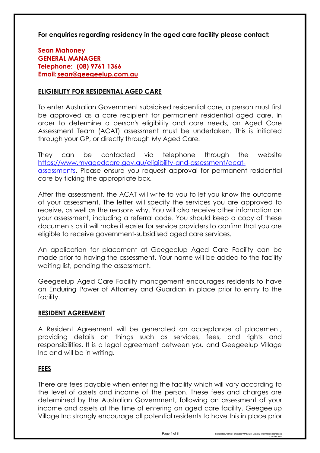**For enquiries regarding residency in the aged care facility please contact:** 

**Sean Mahoney GENERAL MANAGER Telephone: (08) 9761 1366 Email: [sean@geegeelup.com.au](mailto:sean@geegeelup.com.au)**

## **ELIGIBILITY FOR RESIDENTIAL AGED CARE**

To enter Australian Government subsidised residential care, a person must first be approved as a care recipient for permanent residential aged care. In order to determine a person's eligibility and care needs, an Aged Care Assessment Team (ACAT) assessment must be undertaken. This is initiated through your GP, or directly through My Aged Care.

They can be contacted via telephone through the website [https://www.myagedcare.gov.au/eligibility-and-assessment/acat](https://www.myagedcare.gov.au/eligibility-and-assessment/acat-assessments)[assessments.](https://www.myagedcare.gov.au/eligibility-and-assessment/acat-assessments) Please ensure you request approval for permanent residential care by ticking the appropriate box.

After the assessment, the ACAT will write to you to let you know the outcome of your assessment. The letter will specify the services you are approved to receive, as well as the reasons why. You will also receive other information on your assessment, including a referral code. You should keep a copy of these documents as it will make it easier for service providers to confirm that you are eligible to receive government-subsidised aged care services.

An application for placement at Geegeelup Aged Care Facility can be made prior to having the assessment. Your name will be added to the facility waiting list, pending the assessment.

Geegeelup Aged Care Facility management encourages residents to have an Enduring Power of Attorney and Guardian in place prior to entry to the facility.

## **RESIDENT AGREEMENT**

A Resident Agreement will be generated on acceptance of placement, providing details on things such as services, fees, and rights and responsibilities. It is a legal agreement between you and Geegeelup Village Inc and will be in writing.

# **FEES**

There are fees payable when entering the facility which will vary according to the level of assets and income of the person. These fees and charges are determined by the Australian Government, following an assessment of your income and assets at the time of entering an aged care facility. Geegeelup Village Inc strongly encourage all potential residents to have this in place prior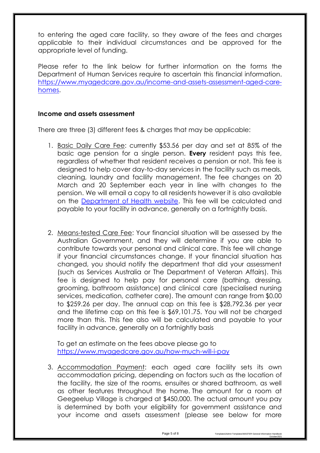to entering the aged care facility, so they aware of the fees and charges applicable to their individual circumstances and be approved for the appropriate level of funding.

Please refer to the link below for further information on the forms the Department of Human Services require to ascertain this financial information. [https://www.myagedcare.gov.au/income-and-assets-assessment-aged-care](https://www.myagedcare.gov.au/income-and-assets-assessment-aged-care-homes)[homes.](https://www.myagedcare.gov.au/income-and-assets-assessment-aged-care-homes)

#### **Income and assets assessment**

There are three (3) different fees & charges that may be applicable:

- 1. Basic Daily Care Fee: currently \$53.56 per day and set at 85% of the basic age pension for a single person. **Every** resident pays this fee, regardless of whether that resident receives a pension or not. This fee is designed to help cover day-to-day services in the facility such as meals, cleaning, laundry and facility management. The fee changes on 20 March and 20 September each year in line with changes to the pension. We will email a copy to all residents however it is also available on the [Department of Health website.](https://www.health.gov.au/health-topics/aged-care?utm_source=health.gov.au&utm_medium=redirect&utm_campaign=digital_transformation&utm_content=agedcare) This fee will be calculated and payable to your facility in advance, generally on a fortnightly basis.
- 2. Means-tested Care Fee: Your financial situation will be assessed by the Australian Government, and they will determine if you are able to contribute towards your personal and clinical care. This fee will change if your financial circumstances change. If your financial situation has changed, you should notify the department that did your assessment (such as Services Australia or The Department of Veteran Affairs). This fee is designed to help pay for personal care (bathing, dressing, grooming, bathroom assistance) and clinical care (specialised nursing services, medication, catheter care). The amount can range from \$0.00 to \$259.26 per day. The annual cap on this fee is \$28,792.36 per year and the lifetime cap on this fee is \$69,101.75. You will not be charged more than this. This fee also will be calculated and payable to your facility in advance, generally on a fortnightly basis

To get an estimate on the fees above please go to <https://www.myagedcare.gov.au/how-much-will-i-pay>

3. Accommodation Payment: each aged care facility sets its own accommodation pricing, depending on factors such as the location of the facility, the size of the rooms, ensuites or shared bathroom, as well as other features throughout the home. The amount for a room at Geegeelup Village is charged at \$450,000. The actual amount you pay is determined by both your eligibility for government assistance and your income and assets assessment (please see below for more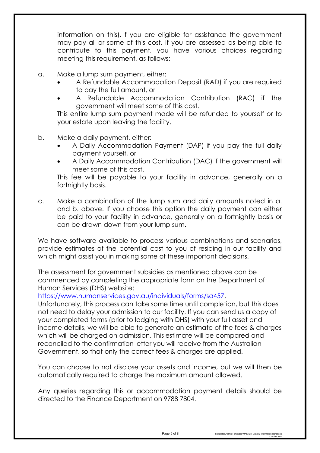information on this). If you are eligible for assistance the government may pay all or some of this cost. If you are assessed as being able to contribute to this payment, you have various choices regarding meeting this requirement, as follows:

- a. Make a lump sum payment, either:
	- A Refundable Accommodation Deposit (RAD) if you are required to pay the full amount, or
	- A Refundable Accommodation Contribution (RAC) if the government will meet some of this cost.

This entire lump sum payment made will be refunded to yourself or to your estate upon leaving the facility.

- b. Make a daily payment, either:
	- A Daily Accommodation Payment (DAP) if you pay the full daily payment yourself, or
	- A Daily Accommodation Contribution (DAC) if the government will meet some of this cost.

This fee will be payable to your facility in advance, generally on a fortnightly basis.

c. Make a combination of the lump sum and daily amounts noted in a. and b. above. If you choose this option the daily payment can either be paid to your facility in advance, generally on a fortnightly basis or can be drawn down from your lump sum.

We have software available to process various combinations and scenarios, provide estimates of the potential cost to you of residing in our facility and which might assist you in making some of these important decisions.

The assessment for government subsidies as mentioned above can be commenced by completing the appropriate form on the Department of Human Services (DHS) website:

[https://www.humanservices.gov.au/individuals/forms/sa457.](https://www.humanservices.gov.au/individuals/forms/sa457)

Unfortunately, this process can take some time until completion, but this does not need to delay your admission to our facility. If you can send us a copy of your completed forms (prior to lodging with DHS) with your full asset and income details, we will be able to generate an estimate of the fees & charges which will be charged on admission. This estimate will be compared and reconciled to the confirmation letter you will receive from the Australian Government, so that only the correct fees & charges are applied.

You can choose to not disclose your assets and income, but we will then be automatically required to charge the maximum amount allowed.

Any queries regarding this or accommodation payment details should be directed to the Finance Department on 9788 7804.

October2021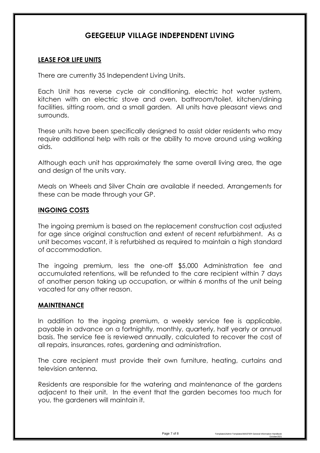# **GEEGEELUP VILLAGE INDEPENDENT LIVING**

### **LEASE FOR LIFE UNITS**

There are currently 35 Independent Living Units.

Each Unit has reverse cycle air conditioning, electric hot water system, kitchen with an electric stove and oven, bathroom/toilet, kitchen/dining facilities, sitting room, and a small garden. All units have pleasant views and surrounds.

These units have been specifically designed to assist older residents who may require additional help with rails or the ability to move around using walking aids.

Although each unit has approximately the same overall living area, the age and design of the units vary.

Meals on Wheels and Silver Chain are available if needed. Arrangements for these can be made through your GP.

#### **INGOING COSTS**

The ingoing premium is based on the replacement construction cost adjusted for age since original construction and extent of recent refurbishment. As a unit becomes vacant, it is refurbished as required to maintain a high standard of accommodation.

The ingoing premium, less the one-off \$5,000 Administration fee and accumulated retentions, will be refunded to the care recipient within 7 days of another person taking up occupation, or within 6 months of the unit being vacated for any other reason.

#### **MAINTENANCE**

In addition to the ingoing premium, a weekly service fee is applicable, payable in advance on a fortnightly, monthly, quarterly, half yearly or annual basis. The service fee is reviewed annually, calculated to recover the cost of all repairs, insurances, rates, gardening and administration.

The care recipient must provide their own furniture, heating, curtains and television antenna.

Residents are responsible for the watering and maintenance of the gardens adjacent to their unit. In the event that the garden becomes too much for you, the gardeners will maintain it.